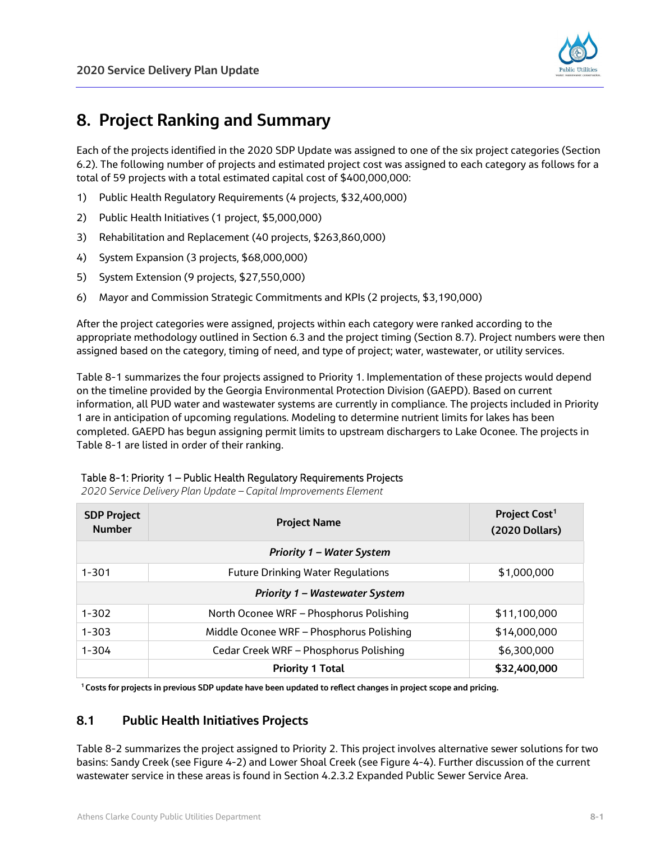

# **8. Project Ranking and Summary**

Each of the projects identified in the 2020 SDP Update was assigned to one of the six project categories (Section 6.2). The following number of projects and estimated project cost was assigned to each category as follows for a total of 59 projects with a total estimated capital cost of \$400,000,000:

- 1) Public Health Regulatory Requirements (4 projects, \$32,400,000)
- 2) Public Health Initiatives (1 project, \$5,000,000)
- 3) Rehabilitation and Replacement (40 projects, \$263,860,000)
- 4) System Expansion (3 projects, \$68,000,000)
- 5) System Extension (9 projects, \$27,550,000)
- 6) Mayor and Commission Strategic Commitments and KPIs (2 projects, \$3,190,000)

After the project categories were assigned, projects within each category were ranked according to the appropriate methodology outlined in Section 6.3 and the project timing (Section 8.7). Project numbers were then assigned based on the category, timing of need, and type of project; water, wastewater, or utility services.

Table 8-1 summarizes the four projects assigned to Priority 1. Implementation of these projects would depend on the timeline provided by the Georgia Environmental Protection Division (GAEPD). Based on current information, all PUD water and wastewater systems are currently in compliance. The projects included in Priority 1 are in anticipation of upcoming regulations. Modeling to determine nutrient limits for lakes has been completed. GAEPD has begun assigning permit limits to upstream dischargers to Lake Oconee. The projects in Table 8-1 are listed in order of their ranking.

## Table 8-1: Priority 1 – Public Health Regulatory Requirements Projects

*2020 Service Delivery Plan Update – Capital Improvements Element*

| <b>SDP Project</b><br><b>Number</b>   | <b>Project Name</b>                      | Project Cost <sup>1</sup><br>(2020 Dollars) |
|---------------------------------------|------------------------------------------|---------------------------------------------|
| <b>Priority 1 – Water System</b>      |                                          |                                             |
| $1 - 301$                             | <b>Future Drinking Water Regulations</b> | \$1,000,000                                 |
| <b>Priority 1 - Wastewater System</b> |                                          |                                             |
| $1 - 302$                             | North Oconee WRF - Phosphorus Polishing  | \$11,100,000                                |
| $1 - 303$                             | Middle Oconee WRF - Phosphorus Polishing | \$14,000,000                                |
| $1 - 304$                             | Cedar Creek WRF - Phosphorus Polishing   | \$6,300,000                                 |
|                                       | <b>Priority 1 Total</b>                  | \$32,400,000                                |

**<sup>1</sup> Costs for projects in previous SDP update have been updated to reflect changes in project scope and pricing.**

# **8.1 Public Health Initiatives Projects**

Table 8-2 summarizes the project assigned to Priority 2. This project involves alternative sewer solutions for two basins: Sandy Creek (see Figure 4-2) and Lower Shoal Creek (see Figure 4-4). Further discussion of the current wastewater service in these areas is found in Section 4.2.3.2 Expanded Public Sewer Service Area.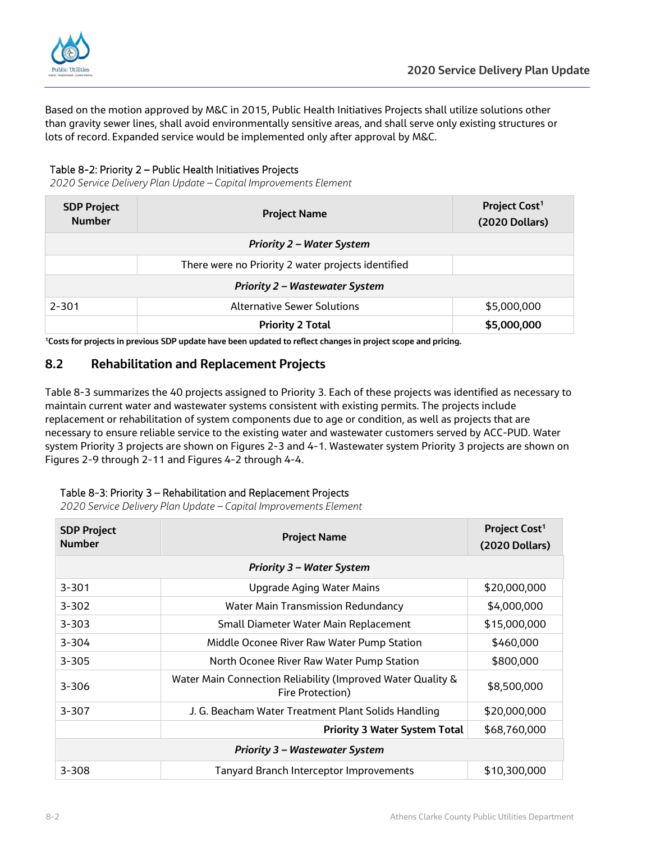

Based on the motion approved by M&C in 2015, Public Health Initiatives Projects shall utilize solutions other than gravity sewer lines, shall avoid environmentally sensitive areas, and shall serve only existing structures or lots of record. Expanded service would be implemented only after approval by M&C.

## Table 8-2: Priority 2 – Public Health Initiatives Projects

*2020 Service Delivery Plan Update – Capital Improvements Element*

| <b>SDP Project</b><br><b>Number</b> | <b>Project Name</b>                                | Project Cost <sup>1</sup><br>(2020 Dollars) |
|-------------------------------------|----------------------------------------------------|---------------------------------------------|
|                                     | <b>Priority 2 - Water System</b>                   |                                             |
|                                     | There were no Priority 2 water projects identified |                                             |
|                                     | <b>Priority 2 – Wastewater System</b>              |                                             |
| $2 - 301$                           | <b>Alternative Sewer Solutions</b>                 | \$5,000,000                                 |
|                                     | <b>Priority 2 Total</b>                            | \$5,000,000                                 |

**1Costs for projects in previous SDP update have been updated to reflect changes in project scope and pricing.**

# **8.2 Rehabilitation and Replacement Projects**

Table 8-3 summarizes the 40 projects assigned to Priority 3. Each of these projects was identified as necessary to maintain current water and wastewater systems consistent with existing permits. The projects include replacement or rehabilitation of system components due to age or condition, as well as projects that are necessary to ensure reliable service to the existing water and wastewater customers served by ACC-PUD. Water system Priority 3 projects are shown on Figures 2-3 and 4-1. Wastewater system Priority 3 projects are shown on Figures 2-9 through 2-11 and Figures 4-2 through 4-4.

## Table 8-3: Priority 3 – Rehabilitation and Replacement Projects

*2020 Service Delivery Plan Update – Capital Improvements Element*

| <b>SDP Project</b><br><b>Number</b> | <b>Project Name</b>                                                             | Project Cost <sup>1</sup><br>(2020 Dollars) |
|-------------------------------------|---------------------------------------------------------------------------------|---------------------------------------------|
|                                     | <b>Priority 3 - Water System</b>                                                |                                             |
| $3 - 301$                           | <b>Upgrade Aging Water Mains</b>                                                | \$20,000,000                                |
| $3 - 302$                           | <b>Water Main Transmission Redundancy</b>                                       | \$4,000,000                                 |
| $3 - 303$                           | Small Diameter Water Main Replacement                                           | \$15,000,000                                |
| $3 - 304$                           | Middle Oconee River Raw Water Pump Station                                      | \$460,000                                   |
| $3 - 305$                           | North Oconee River Raw Water Pump Station                                       | \$800,000                                   |
| $3 - 306$                           | Water Main Connection Reliability (Improved Water Quality &<br>Fire Protection) | \$8,500,000                                 |
| $3 - 307$                           | J. G. Beacham Water Treatment Plant Solids Handling                             | \$20,000,000                                |
|                                     | <b>Priority 3 Water System Total</b>                                            | \$68,760,000                                |
|                                     | <b>Priority 3 - Wastewater System</b>                                           |                                             |
| $3 - 308$                           | <b>Tanyard Branch Interceptor Improvements</b>                                  | \$10,300,000                                |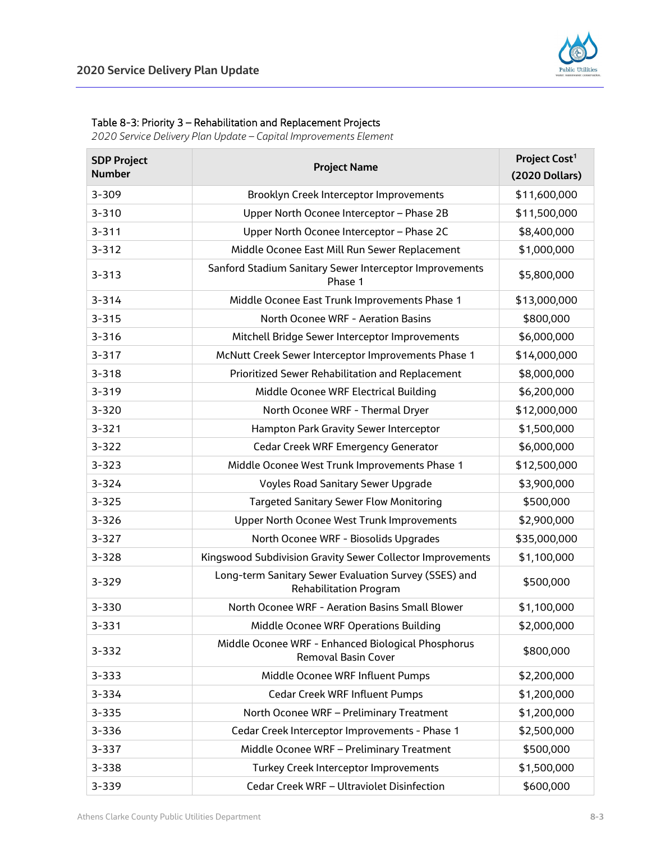

#### Table 8-3: Priority 3 – Rehabilitation and Replacement Projects

*2020 Service Delivery Plan Update – Capital Improvements Element*

| <b>SDP Project</b><br><b>Number</b> | <b>Project Name</b>                                                                    | Project Cost <sup>1</sup><br>(2020 Dollars) |
|-------------------------------------|----------------------------------------------------------------------------------------|---------------------------------------------|
| 3-309                               | Brooklyn Creek Interceptor Improvements                                                | \$11,600,000                                |
| $3 - 310$                           | Upper North Oconee Interceptor - Phase 2B                                              | \$11,500,000                                |
| $3 - 311$                           | Upper North Oconee Interceptor - Phase 2C                                              | \$8,400,000                                 |
| $3 - 312$                           | Middle Oconee East Mill Run Sewer Replacement                                          | \$1,000,000                                 |
| $3 - 313$                           | Sanford Stadium Sanitary Sewer Interceptor Improvements<br>Phase 1                     | \$5,800,000                                 |
| $3 - 314$                           | Middle Oconee East Trunk Improvements Phase 1                                          | \$13,000,000                                |
| $3 - 315$                           | North Oconee WRF - Aeration Basins                                                     | \$800,000                                   |
| $3 - 316$                           | Mitchell Bridge Sewer Interceptor Improvements                                         | \$6,000,000                                 |
| $3 - 317$                           | McNutt Creek Sewer Interceptor Improvements Phase 1                                    | \$14,000,000                                |
| $3 - 318$                           | Prioritized Sewer Rehabilitation and Replacement                                       | \$8,000,000                                 |
| $3 - 319$                           | Middle Oconee WRF Electrical Building                                                  | \$6,200,000                                 |
| 3-320                               | North Oconee WRF - Thermal Dryer                                                       | \$12,000,000                                |
| $3 - 321$                           | Hampton Park Gravity Sewer Interceptor                                                 | \$1,500,000                                 |
| $3 - 322$                           | <b>Cedar Creek WRF Emergency Generator</b>                                             | \$6,000,000                                 |
| $3 - 323$                           | Middle Oconee West Trunk Improvements Phase 1                                          | \$12,500,000                                |
| 3-324                               | <b>Voyles Road Sanitary Sewer Upgrade</b>                                              | \$3,900,000                                 |
| $3 - 325$                           | <b>Targeted Sanitary Sewer Flow Monitoring</b>                                         | \$500,000                                   |
| $3 - 326$                           | Upper North Oconee West Trunk Improvements                                             | \$2,900,000                                 |
| $3 - 327$                           | North Oconee WRF - Biosolids Upgrades                                                  | \$35,000,000                                |
| $3 - 328$                           | Kingswood Subdivision Gravity Sewer Collector Improvements                             | \$1,100,000                                 |
| 3-329                               | Long-term Sanitary Sewer Evaluation Survey (SSES) and<br><b>Rehabilitation Program</b> | \$500,000                                   |
| 3-330                               | North Oconee WRF - Aeration Basins Small Blower                                        | \$1,100,000                                 |
| $3 - 331$                           | Middle Oconee WRF Operations Building                                                  | \$2,000,000                                 |
| $3 - 332$                           | Middle Oconee WRF - Enhanced Biological Phosphorus<br><b>Removal Basin Cover</b>       | \$800,000                                   |
| $3 - 333$                           | Middle Oconee WRF Influent Pumps                                                       | \$2,200,000                                 |
| 3-334                               | <b>Cedar Creek WRF Influent Pumps</b>                                                  | \$1,200,000                                 |
| $3 - 335$                           | North Oconee WRF - Preliminary Treatment                                               | \$1,200,000                                 |
| 3-336                               | Cedar Creek Interceptor Improvements - Phase 1                                         | \$2,500,000                                 |
| $3 - 337$                           | Middle Oconee WRF - Preliminary Treatment                                              | \$500,000                                   |
| 3-338                               | <b>Turkey Creek Interceptor Improvements</b>                                           | \$1,500,000                                 |
| 3-339                               | Cedar Creek WRF - Ultraviolet Disinfection                                             | \$600,000                                   |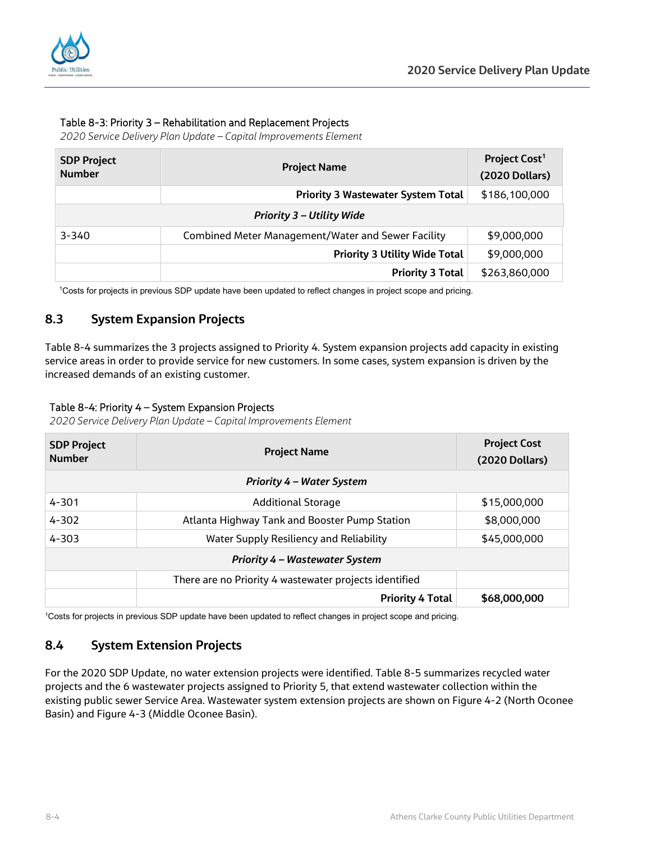

## Table 8-3: Priority 3 – Rehabilitation and Replacement Projects

*2020 Service Delivery Plan Update – Capital Improvements Element*

| <b>SDP Project</b><br><b>Number</b> | <b>Project Name</b>                                       | Project Cost <sup>1</sup><br>(2020 Dollars) |
|-------------------------------------|-----------------------------------------------------------|---------------------------------------------|
|                                     | <b>Priority 3 Wastewater System Total</b>                 | \$186,100,000                               |
|                                     | <b>Priority 3 - Utility Wide</b>                          |                                             |
| $3 - 340$                           | <b>Combined Meter Management/Water and Sewer Facility</b> | \$9,000,000                                 |
|                                     | <b>Priority 3 Utility Wide Total</b>                      | \$9,000,000                                 |
|                                     | <b>Priority 3 Total</b>                                   | \$263,860,000                               |

1 Costs for projects in previous SDP update have been updated to reflect changes in project scope and pricing.

# **8.3 System Expansion Projects**

Table 8-4 summarizes the 3 projects assigned to Priority 4. System expansion projects add capacity in existing service areas in order to provide service for new customers. In some cases, system expansion is driven by the increased demands of an existing customer.

## Table 8-4: Priority 4 – System Expansion Projects

*2020 Service Delivery Plan Update – Capital Improvements Element*

| <b>SDP Project</b><br><b>Number</b> | <b>Project Name</b>                                    | <b>Project Cost</b><br>(2020 Dollars) |
|-------------------------------------|--------------------------------------------------------|---------------------------------------|
|                                     | <b>Priority 4 – Water System</b>                       |                                       |
| $4 - 301$                           | <b>Additional Storage</b>                              | \$15,000,000                          |
| $4 - 302$                           | Atlanta Highway Tank and Booster Pump Station          | \$8,000,000                           |
| $4 - 303$                           | Water Supply Resiliency and Reliability                | \$45,000,000                          |
|                                     | <b>Priority 4 – Wastewater System</b>                  |                                       |
|                                     | There are no Priority 4 wastewater projects identified |                                       |
|                                     | <b>Priority 4 Total</b>                                | \$68,000,000                          |

1 Costs for projects in previous SDP update have been updated to reflect changes in project scope and pricing.

# **8.4 System Extension Projects**

For the 2020 SDP Update, no water extension projects were identified. Table 8-5 summarizes recycled water projects and the 6 wastewater projects assigned to Priority 5, that extend wastewater collection within the existing public sewer Service Area. Wastewater system extension projects are shown on Figure 4-2 (North Oconee Basin) and Figure 4-3 (Middle Oconee Basin).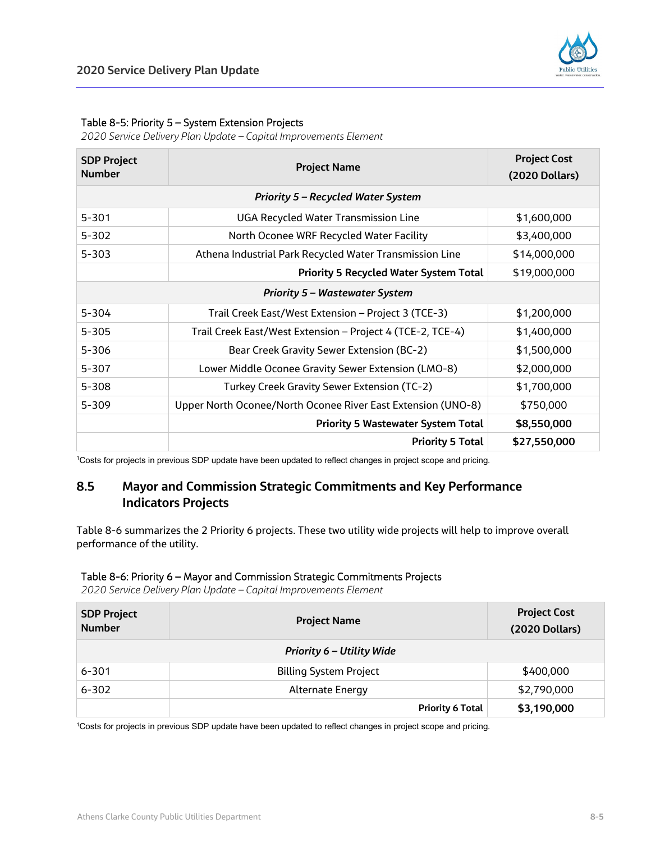

#### Table 8-5: Priority 5 – System Extension Projects

*2020 Service Delivery Plan Update – Capital Improvements Element*

| <b>SDP Project</b><br><b>Number</b>   | <b>Project Name</b>                                          | <b>Project Cost</b><br>(2020 Dollars) |
|---------------------------------------|--------------------------------------------------------------|---------------------------------------|
|                                       | <b>Priority 5 – Recycled Water System</b>                    |                                       |
| $5 - 301$                             | <b>UGA Recycled Water Transmission Line</b>                  | \$1,600,000                           |
| $5 - 302$                             | North Oconee WRF Recycled Water Facility                     | \$3,400,000                           |
| $5 - 303$                             | Athena Industrial Park Recycled Water Transmission Line      | \$14,000,000                          |
|                                       | <b>Priority 5 Recycled Water System Total</b>                | \$19,000,000                          |
| <b>Priority 5 – Wastewater System</b> |                                                              |                                       |
| $5 - 304$                             | Trail Creek East/West Extension - Project 3 (TCE-3)          | \$1,200,000                           |
| $5 - 305$                             | Trail Creek East/West Extension - Project 4 (TCE-2, TCE-4)   | \$1,400,000                           |
| $5 - 306$                             | Bear Creek Gravity Sewer Extension (BC-2)                    | \$1,500,000                           |
| $5 - 307$                             | Lower Middle Oconee Gravity Sewer Extension (LMO-8)          | \$2,000,000                           |
| $5 - 308$                             | Turkey Creek Gravity Sewer Extension (TC-2)                  | \$1,700,000                           |
| $5 - 309$                             | Upper North Oconee/North Oconee River East Extension (UNO-8) | \$750,000                             |
|                                       | <b>Priority 5 Wastewater System Total</b>                    | \$8,550,000                           |
|                                       | <b>Priority 5 Total</b>                                      | \$27,550,000                          |

1 Costs for projects in previous SDP update have been updated to reflect changes in project scope and pricing.

# **8.5 Mayor and Commission Strategic Commitments and Key Performance Indicators Projects**

Table 8-6 summarizes the 2 Priority 6 projects. These two utility wide projects will help to improve overall performance of the utility.

#### Table 8-6: Priority 6 – Mayor and Commission Strategic Commitments Projects

*2020 Service Delivery Plan Update – Capital Improvements Element*

| <b>SDP Project</b><br><b>Number</b> | <b>Project Name</b>              | <b>Project Cost</b><br><b>(2020 Dollars)</b> |
|-------------------------------------|----------------------------------|----------------------------------------------|
|                                     | <b>Priority 6 – Utility Wide</b> |                                              |
| $6 - 301$                           | <b>Billing System Project</b>    | \$400,000                                    |
| $6 - 302$                           | <b>Alternate Energy</b>          | \$2,790,000                                  |
|                                     | <b>Priority 6 Total</b>          | \$3,190,000                                  |

1 Costs for projects in previous SDP update have been updated to reflect changes in project scope and pricing.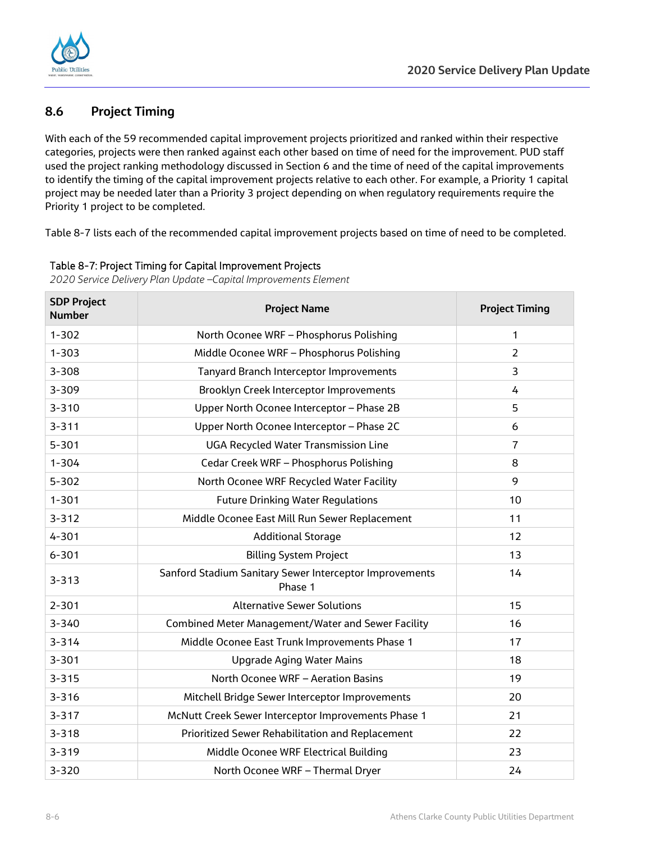

# **8.6 Project Timing**

With each of the 59 recommended capital improvement projects prioritized and ranked within their respective categories, projects were then ranked against each other based on time of need for the improvement. PUD staff used the project ranking methodology discussed in Section 6 and the time of need of the capital improvements to identify the timing of the capital improvement projects relative to each other. For example, a Priority 1 capital project may be needed later than a Priority 3 project depending on when regulatory requirements require the Priority 1 project to be completed.

Table 8-7 lists each of the recommended capital improvement projects based on time of need to be completed.

| <b>SDP Project</b><br><b>Number</b> | <b>Project Name</b>                                                | <b>Project Timing</b> |
|-------------------------------------|--------------------------------------------------------------------|-----------------------|
| $1 - 302$                           | North Oconee WRF - Phosphorus Polishing                            | 1                     |
| $1 - 303$                           | Middle Oconee WRF - Phosphorus Polishing                           | $\overline{2}$        |
| $3 - 308$                           | <b>Tanyard Branch Interceptor Improvements</b>                     | 3                     |
| 3-309                               | Brooklyn Creek Interceptor Improvements                            | 4                     |
| $3 - 310$                           | Upper North Oconee Interceptor - Phase 2B                          | 5                     |
| $3 - 311$                           | Upper North Oconee Interceptor - Phase 2C                          | 6                     |
| $5 - 301$                           | <b>UGA Recycled Water Transmission Line</b>                        | $\overline{7}$        |
| $1 - 304$                           | Cedar Creek WRF - Phosphorus Polishing                             | 8                     |
| $5 - 302$                           | North Oconee WRF Recycled Water Facility                           | 9                     |
| $1 - 301$                           | <b>Future Drinking Water Regulations</b>                           | 10                    |
| $3 - 312$                           | Middle Oconee East Mill Run Sewer Replacement                      | 11                    |
| $4 - 301$                           | <b>Additional Storage</b>                                          | 12                    |
| $6 - 301$                           | <b>Billing System Project</b>                                      | 13                    |
| $3 - 313$                           | Sanford Stadium Sanitary Sewer Interceptor Improvements<br>Phase 1 | 14                    |
| $2 - 301$                           | <b>Alternative Sewer Solutions</b>                                 | 15                    |
| $3 - 340$                           | Combined Meter Management/Water and Sewer Facility                 | 16                    |
| $3 - 314$                           | Middle Oconee East Trunk Improvements Phase 1                      | 17                    |
| $3 - 301$                           | <b>Upgrade Aging Water Mains</b>                                   | 18                    |
| $3 - 315$                           | North Oconee WRF - Aeration Basins                                 | 19                    |
| $3 - 316$                           | Mitchell Bridge Sewer Interceptor Improvements                     | 20                    |
| $3 - 317$                           | McNutt Creek Sewer Interceptor Improvements Phase 1                | 21                    |
| $3 - 318$                           | Prioritized Sewer Rehabilitation and Replacement                   | 22                    |
| $3 - 319$                           | Middle Oconee WRF Electrical Building                              | 23                    |
| $3 - 320$                           | North Oconee WRF - Thermal Dryer                                   | 24                    |

Table 8-7: Project Timing for Capital Improvement Projects

*2020 Service Delivery Plan Update –Capital Improvements Element*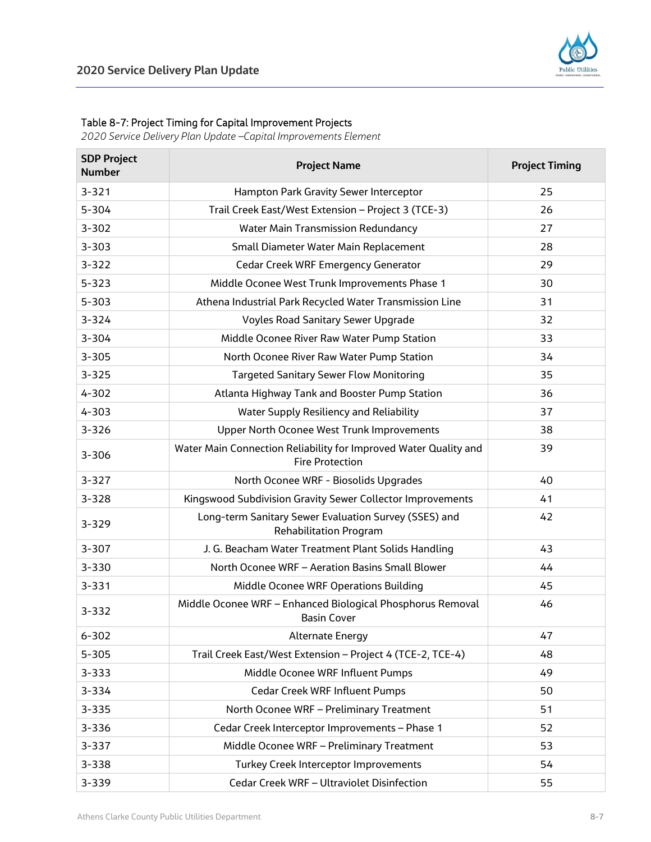

#### Table 8-7: Project Timing for Capital Improvement Projects

*2020 Service Delivery Plan Update –Capital Improvements Element*

| <b>SDP Project</b><br><b>Number</b> | <b>Project Name</b>                                                                        | <b>Project Timing</b> |
|-------------------------------------|--------------------------------------------------------------------------------------------|-----------------------|
| $3 - 321$                           | Hampton Park Gravity Sewer Interceptor                                                     | 25                    |
| $5 - 304$                           | Trail Creek East/West Extension - Project 3 (TCE-3)                                        | 26                    |
| $3 - 302$                           | <b>Water Main Transmission Redundancy</b>                                                  | 27                    |
| $3 - 303$                           | Small Diameter Water Main Replacement                                                      | 28                    |
| $3 - 322$                           | Cedar Creek WRF Emergency Generator                                                        | 29                    |
| $5 - 323$                           | Middle Oconee West Trunk Improvements Phase 1                                              | 30                    |
| $5 - 303$                           | Athena Industrial Park Recycled Water Transmission Line                                    | 31                    |
| $3 - 324$                           | <b>Voyles Road Sanitary Sewer Upgrade</b>                                                  | 32                    |
| $3 - 304$                           | Middle Oconee River Raw Water Pump Station                                                 | 33                    |
| $3 - 305$                           | North Oconee River Raw Water Pump Station                                                  | 34                    |
| $3 - 325$                           | <b>Targeted Sanitary Sewer Flow Monitoring</b>                                             | 35                    |
| $4 - 302$                           | Atlanta Highway Tank and Booster Pump Station                                              | 36                    |
| $4 - 303$                           | Water Supply Resiliency and Reliability                                                    | 37                    |
| $3 - 326$                           | Upper North Oconee West Trunk Improvements                                                 | 38                    |
| $3 - 306$                           | Water Main Connection Reliability for Improved Water Quality and<br><b>Fire Protection</b> | 39                    |
| $3 - 327$                           | North Oconee WRF - Biosolids Upgrades                                                      | 40                    |
| $3 - 328$                           | Kingswood Subdivision Gravity Sewer Collector Improvements                                 | 41                    |
| $3 - 329$                           | Long-term Sanitary Sewer Evaluation Survey (SSES) and<br><b>Rehabilitation Program</b>     | 42                    |
| $3 - 307$                           | J. G. Beacham Water Treatment Plant Solids Handling                                        | 43                    |
| $3 - 330$                           | North Oconee WRF - Aeration Basins Small Blower                                            | 44                    |
| $3 - 331$                           | Middle Oconee WRF Operations Building                                                      | 45                    |
| $3 - 332$                           | Middle Oconee WRF - Enhanced Biological Phosphorus Removal<br><b>Basin Cover</b>           | 46                    |
| $6 - 302$                           | <b>Alternate Energy</b>                                                                    | 47                    |
| $5 - 305$                           | Trail Creek East/West Extension - Project 4 (TCE-2, TCE-4)                                 | 48                    |
| $3 - 333$                           | Middle Oconee WRF Influent Pumps                                                           | 49                    |
| 3-334                               | Cedar Creek WRF Influent Pumps                                                             | 50                    |
| $3 - 335$                           | North Oconee WRF - Preliminary Treatment                                                   | 51                    |
| 3-336                               | Cedar Creek Interceptor Improvements - Phase 1                                             | 52                    |
| $3 - 337$                           | Middle Oconee WRF - Preliminary Treatment                                                  | 53                    |
| $3 - 338$                           | Turkey Creek Interceptor Improvements                                                      | 54                    |
| 3-339                               | Cedar Creek WRF - Ultraviolet Disinfection                                                 | 55                    |